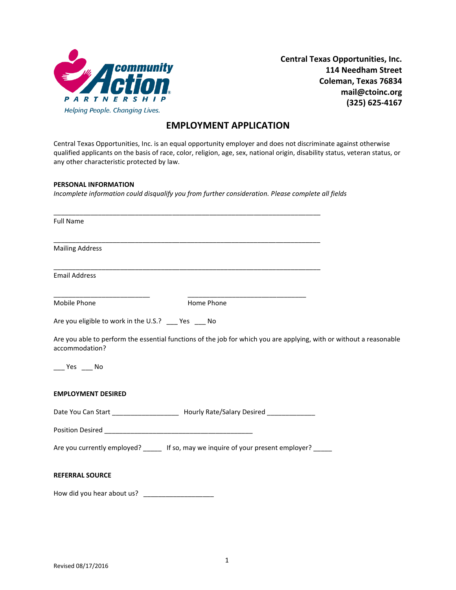

**Central Texas Opportunities, Inc. 114 Needham Street Coleman, Texas 76834 mail@ctoinc.org (325) 625-4167**

## **EMPLOYMENT APPLICATION**

Central Texas Opportunities, Inc. is an equal opportunity employer and does not discriminate against otherwise qualified applicants on the basis of race, color, religion, age, sex, national origin, disability status, veteran status, or any other characteristic protected by law.

## **PERSONAL INFORMATION**

*Incomplete information could disqualify you from further consideration. Please complete all fields*

| <b>Full Name</b>                                   |                                                                                                                       |  |
|----------------------------------------------------|-----------------------------------------------------------------------------------------------------------------------|--|
| <b>Mailing Address</b>                             |                                                                                                                       |  |
| <b>Email Address</b>                               | <u> 1989 - Johann Harry Harry Harry Harry Harry Harry Harry Harry Harry Harry Harry Harry Harry Harry Harry Harry</u> |  |
| Mobile Phone                                       | Home Phone                                                                                                            |  |
| Are you eligible to work in the U.S.? __ Yes __ No |                                                                                                                       |  |
| accommodation?                                     | Are you able to perform the essential functions of the job for which you are applying, with or without a reasonable   |  |
| $\rule{1em}{0.15mm}$ Yes $\rule{1em}{0.15mm}$ No   |                                                                                                                       |  |
| <b>EMPLOYMENT DESIRED</b>                          |                                                                                                                       |  |
|                                                    | Date You Can Start _______________________ Hourly Rate/Salary Desired ___________                                     |  |
|                                                    |                                                                                                                       |  |
|                                                    | Are you currently employed? ______ If so, may we inquire of your present employer?                                    |  |
| <b>REFERRAL SOURCE</b>                             |                                                                                                                       |  |
| How did you hear about us?                         |                                                                                                                       |  |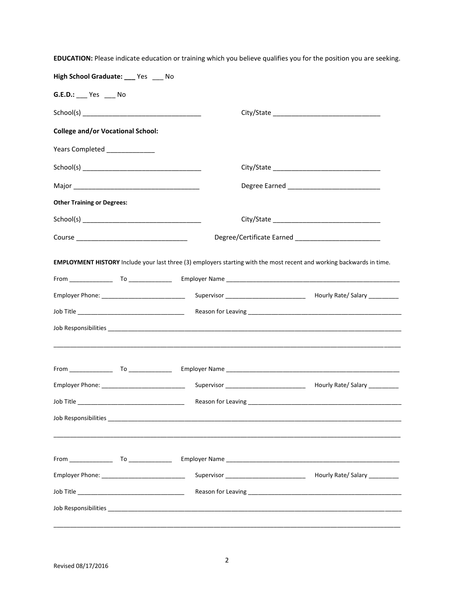| High School Graduate: ___ Yes ___ No     |                                                |                                                                                                                       |  |  |
|------------------------------------------|------------------------------------------------|-----------------------------------------------------------------------------------------------------------------------|--|--|
| G.E.D.: Yes No                           |                                                |                                                                                                                       |  |  |
|                                          |                                                |                                                                                                                       |  |  |
| <b>College and/or Vocational School:</b> |                                                |                                                                                                                       |  |  |
| Years Completed _______________          |                                                |                                                                                                                       |  |  |
|                                          |                                                |                                                                                                                       |  |  |
|                                          |                                                | Degree Earned ________________________________                                                                        |  |  |
| <b>Other Training or Degrees:</b>        |                                                |                                                                                                                       |  |  |
|                                          |                                                |                                                                                                                       |  |  |
|                                          |                                                |                                                                                                                       |  |  |
|                                          |                                                | EMPLOYMENT HISTORY Include your last three (3) employers starting with the most recent and working backwards in time. |  |  |
|                                          |                                                |                                                                                                                       |  |  |
|                                          |                                                |                                                                                                                       |  |  |
|                                          |                                                |                                                                                                                       |  |  |
|                                          |                                                |                                                                                                                       |  |  |
|                                          |                                                |                                                                                                                       |  |  |
|                                          |                                                |                                                                                                                       |  |  |
|                                          |                                                |                                                                                                                       |  |  |
| Job Title                                | Reason for Leaving                             |                                                                                                                       |  |  |
|                                          |                                                |                                                                                                                       |  |  |
|                                          |                                                |                                                                                                                       |  |  |
|                                          |                                                |                                                                                                                       |  |  |
|                                          | Employer Phone: ______________________________ |                                                                                                                       |  |  |
|                                          |                                                |                                                                                                                       |  |  |
|                                          |                                                |                                                                                                                       |  |  |
|                                          |                                                |                                                                                                                       |  |  |

**EDUCATION:** Please indicate education or training which you believe qualifies you for the position you are seeking.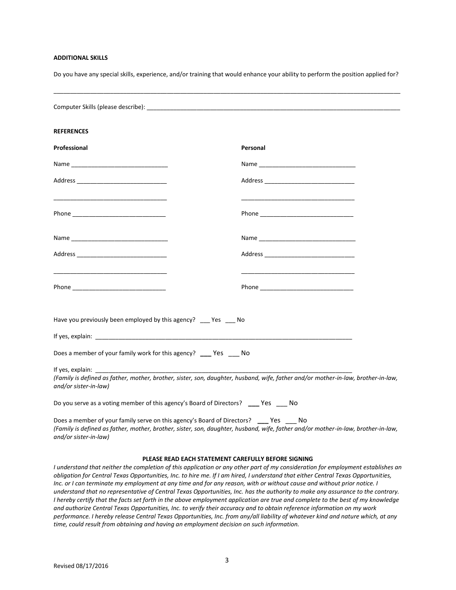## **ADDITIONAL SKILLS**

Do you have any special skills, experience, and/or training that would enhance your ability to perform the position applied for?

\_\_\_\_\_\_\_\_\_\_\_\_\_\_\_\_\_\_\_\_\_\_\_\_\_\_\_\_\_\_\_\_\_\_\_\_\_\_\_\_\_\_\_\_\_\_\_\_\_\_\_\_\_\_\_\_\_\_\_\_\_\_\_\_\_\_\_\_\_\_\_\_\_\_\_\_\_\_\_\_\_\_\_\_\_\_\_\_\_\_\_\_\_\_\_\_\_\_\_\_\_\_\_\_

| <b>REFERENCES</b>                                                                                                                                                                                                              |                                                                                                                                                                                                                               |  |
|--------------------------------------------------------------------------------------------------------------------------------------------------------------------------------------------------------------------------------|-------------------------------------------------------------------------------------------------------------------------------------------------------------------------------------------------------------------------------|--|
| Professional                                                                                                                                                                                                                   | Personal                                                                                                                                                                                                                      |  |
| Name and the state of the state of the state of the state of the state of the state of the state of the state of the state of the state of the state of the state of the state of the state of the state of the state of the s |                                                                                                                                                                                                                               |  |
|                                                                                                                                                                                                                                |                                                                                                                                                                                                                               |  |
|                                                                                                                                                                                                                                |                                                                                                                                                                                                                               |  |
|                                                                                                                                                                                                                                |                                                                                                                                                                                                                               |  |
|                                                                                                                                                                                                                                |                                                                                                                                                                                                                               |  |
|                                                                                                                                                                                                                                |                                                                                                                                                                                                                               |  |
| Have you previously been employed by this agency? __ Yes __ No                                                                                                                                                                 |                                                                                                                                                                                                                               |  |
|                                                                                                                                                                                                                                |                                                                                                                                                                                                                               |  |
| Does a member of your family work for this agency? ____ Yes Mo                                                                                                                                                                 |                                                                                                                                                                                                                               |  |
| If yes, explain:<br>and/or sister-in-law)                                                                                                                                                                                      | (Family is defined as father, mother, brother, sister, son, daughter, husband, wife, father and/or mother-in-law, brother-in-law,                                                                                             |  |
|                                                                                                                                                                                                                                | Do you serve as a voting member of this agency's Board of Directors? _____ Yes Mo                                                                                                                                             |  |
| and/or sister-in-law)                                                                                                                                                                                                          | Does a member of your family serve on this agency's Board of Directors? ____ Yes ____ No<br>(Family is defined as father, mother, brother, sister, son, daughter, husband, wife, father and/or mother-in-law, brother-in-law, |  |

## **PLEASE READ EACH STATEMENT CAREFULLY BEFORE SIGNING**

*I understand that neither the completion of this application or any other part of my consideration for employment establishes an obligation for Central Texas Opportunities, Inc. to hire me. If I am hired, I understand that either Central Texas Opportunities, Inc. or I can terminate my employment at any time and for any reason, with or without cause and without prior notice. I understand that no representative of Central Texas Opportunities, Inc. has the authority to make any assurance to the contrary. I hereby certify that the facts set forth in the above employment application are true and complete to the best of my knowledge and authorize Central Texas Opportunities, Inc. to verify their accuracy and to obtain reference information on my work performance. I hereby release Central Texas Opportunities, Inc. from any/all liability of whatever kind and nature which, at any time, could result from obtaining and having an employment decision on such information.*